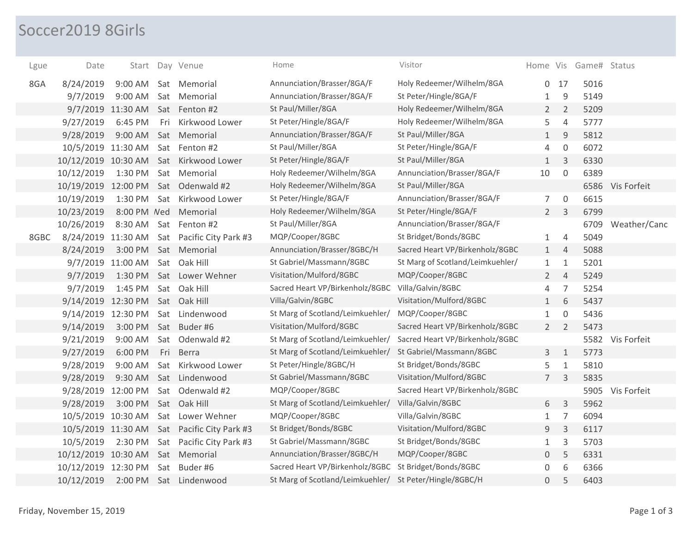## Soccer2019 8Girls

| Lgue | Date                |                   |     | Start Day Venue          | Home                             | Visitor                          |                 |                     | Home Vis Game# Status |                  |
|------|---------------------|-------------------|-----|--------------------------|----------------------------------|----------------------------------|-----------------|---------------------|-----------------------|------------------|
| 8GA  | 8/24/2019           | 9:00 AM           |     | Sat Memorial             | Annunciation/Brasser/8GA/F       | Holy Redeemer/Wilhelm/8GA        | $\overline{0}$  | 17                  | 5016                  |                  |
|      | 9/7/2019            | 9:00 AM           |     | Sat Memorial             | Annunciation/Brasser/8GA/F       | St Peter/Hingle/8GA/F            | $\mathbf{1}$    | 9                   | 5149                  |                  |
|      |                     | 9/7/2019 11:30 AM |     | Sat Fenton #2            | St Paul/Miller/8GA               | Holy Redeemer/Wilhelm/8GA        | $\overline{2}$  | 2                   | 5209                  |                  |
|      | 9/27/2019           | 6:45 PM           | Fri | Kirkwood Lower           | St Peter/Hingle/8GA/F            | Holy Redeemer/Wilhelm/8GA        | 5               | $\overline{4}$      | 5777                  |                  |
|      | 9/28/2019           | 9:00 AM           |     | Sat Memorial             | Annunciation/Brasser/8GA/F       | St Paul/Miller/8GA               | $\mathbf{1}$    | 9                   | 5812                  |                  |
|      | 10/5/2019 11:30 AM  |                   |     | Sat Fenton #2            | St Paul/Miller/8GA               | St Peter/Hingle/8GA/F            | 4               | $\mathsf{O}\xspace$ | 6072                  |                  |
|      | 10/12/2019 10:30 AM |                   |     | Sat Kirkwood Lower       | St Peter/Hingle/8GA/F            | St Paul/Miller/8GA               | $\mathbf{1}$    | 3                   | 6330                  |                  |
|      | 10/12/2019          | 1:30 PM           |     | Sat Memorial             | Holy Redeemer/Wilhelm/8GA        | Annunciation/Brasser/8GA/F       | 10              | $\mathbf 0$         | 6389                  |                  |
|      | 10/19/2019 12:00 PM |                   | Sat | Odenwald #2              | Holy Redeemer/Wilhelm/8GA        | St Paul/Miller/8GA               |                 |                     |                       | 6586 Vis Forfeit |
|      | 10/19/2019          | 1:30 PM           | Sat | Kirkwood Lower           | St Peter/Hingle/8GA/F            | Annunciation/Brasser/8GA/F       | 7 <sup>1</sup>  | $\mathbf 0$         | 6615                  |                  |
|      | 10/23/2019          | 8:00 PM Ned       |     | Memorial                 | Holy Redeemer/Wilhelm/8GA        | St Peter/Hingle/8GA/F            | $\overline{2}$  | 3                   | 6799                  |                  |
|      | 10/26/2019          | 8:30 AM           |     | Sat Fenton #2            | St Paul/Miller/8GA               | Annunciation/Brasser/8GA/F       |                 |                     | 6709                  | Weather/Canc     |
| 8GBC | 8/24/2019 11:30 AM  |                   |     | Sat Pacific City Park #3 | MQP/Cooper/8GBC                  | St Bridget/Bonds/8GBC            | $\mathbf{1}$    | $\overline{4}$      | 5049                  |                  |
|      | 8/24/2019           | 3:00 PM           |     | Sat Memorial             | Annunciation/Brasser/8GBC/H      | Sacred Heart VP/Birkenholz/8GBC  | $\mathbf{1}$    | $\overline{4}$      | 5088                  |                  |
|      |                     | 9/7/2019 11:00 AM |     | Sat Oak Hill             | St Gabriel/Massmann/8GBC         | St Marg of Scotland/Leimkuehler/ | $\mathbf{1}$    | $\mathbf{1}$        | 5201                  |                  |
|      | 9/7/2019            | 1:30 PM           |     | Sat Lower Wehner         | Visitation/Mulford/8GBC          | MQP/Cooper/8GBC                  | $\overline{2}$  | $\overline{4}$      | 5249                  |                  |
|      | 9/7/2019            | 1:45 PM           |     | Sat Oak Hill             | Sacred Heart VP/Birkenholz/8GBC  | Villa/Galvin/8GBC                | 4               | $\overline{7}$      | 5254                  |                  |
|      | 9/14/2019 12:30 PM  |                   |     | Sat Oak Hill             | Villa/Galvin/8GBC                | Visitation/Mulford/8GBC          | $\mathbf{1}$    | 6                   | 5437                  |                  |
|      | 9/14/2019 12:30 PM  |                   |     | Sat Lindenwood           | St Marg of Scotland/Leimkuehler/ | MQP/Cooper/8GBC                  | $\mathbf{1}$    | $\Omega$            | 5436                  |                  |
|      | 9/14/2019           | 3:00 PM           |     | Sat Buder #6             | Visitation/Mulford/8GBC          | Sacred Heart VP/Birkenholz/8GBC  | $\overline{2}$  | 2                   | 5473                  |                  |
|      | 9/21/2019           | 9:00 AM           |     | Sat Odenwald #2          | St Marg of Scotland/Leimkuehler/ | Sacred Heart VP/Birkenholz/8GBC  |                 |                     |                       | 5582 Vis Forfeit |
|      | 9/27/2019           | 6:00 PM           | Fri | Berra                    | St Marg of Scotland/Leimkuehler/ | St Gabriel/Massmann/8GBC         | 3               | $\mathbf{1}$        | 5773                  |                  |
|      | 9/28/2019           | 9:00 AM           | Sat | Kirkwood Lower           | St Peter/Hingle/8GBC/H           | St Bridget/Bonds/8GBC            | 5               | $\mathbf{1}$        | 5810                  |                  |
|      | 9/28/2019           | 9:30 AM           |     | Sat Lindenwood           | St Gabriel/Massmann/8GBC         | Visitation/Mulford/8GBC          | $7\overline{ }$ | 3                   | 5835                  |                  |
|      | 9/28/2019           | 12:00 PM          |     | Sat Odenwald #2          | MQP/Cooper/8GBC                  | Sacred Heart VP/Birkenholz/8GBC  |                 |                     |                       | 5905 Vis Forfeit |
|      | 9/28/2019           | 3:00 PM           | Sat | Oak Hill                 | St Marg of Scotland/Leimkuehler/ | Villa/Galvin/8GBC                | 6               | $\mathsf{3}$        | 5962                  |                  |
|      | 10/5/2019 10:30 AM  |                   | Sat | Lower Wehner             | MQP/Cooper/8GBC                  | Villa/Galvin/8GBC                | $\mathbf{1}$    | $\overline{7}$      | 6094                  |                  |
|      | 10/5/2019 11:30 AM  |                   |     | Sat Pacific City Park #3 | St Bridget/Bonds/8GBC            | Visitation/Mulford/8GBC          | 9               | $\mathsf{3}$        | 6117                  |                  |
|      | 10/5/2019           | 2:30 PM           |     | Sat Pacific City Park #3 | St Gabriel/Massmann/8GBC         | St Bridget/Bonds/8GBC            | 1               | 3                   | 5703                  |                  |
|      | 10/12/2019 10:30 AM |                   |     | Sat Memorial             | Annunciation/Brasser/8GBC/H      | MQP/Cooper/8GBC                  | 0               | 5                   | 6331                  |                  |
|      | 10/12/2019 12:30 PM |                   | Sat | Buder #6                 | Sacred Heart VP/Birkenholz/8GBC  | St Bridget/Bonds/8GBC            | 0               | 6                   | 6366                  |                  |
|      | 10/12/2019          | 2:00 PM           |     | Sat Lindenwood           | St Marg of Scotland/Leimkuehler/ | St Peter/Hingle/8GBC/H           | $\Omega$        | 5                   | 6403                  |                  |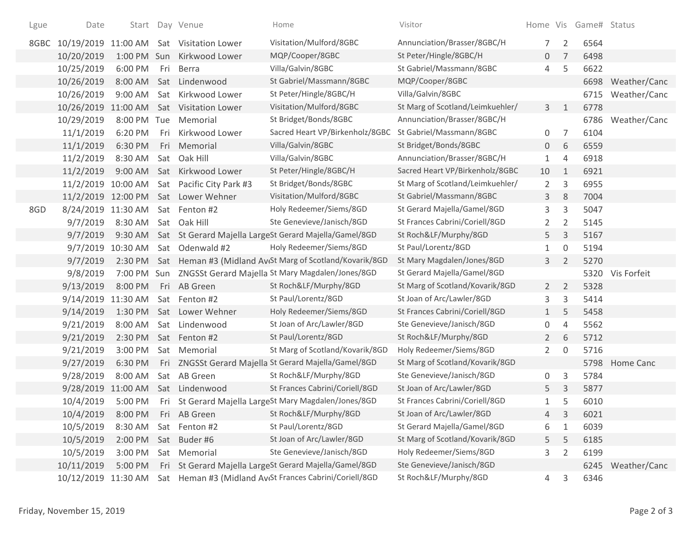| Lgue | Date                |             |     | Start Day Venue                     | Home                                                                 | Visitor                          |                |                | Home Vis Game# Status |                   |
|------|---------------------|-------------|-----|-------------------------------------|----------------------------------------------------------------------|----------------------------------|----------------|----------------|-----------------------|-------------------|
| 8GBC | 10/19/2019          |             |     | 11:00 AM Sat Visitation Lower       | Visitation/Mulford/8GBC                                              | Annunciation/Brasser/8GBC/H      | 7              | $\overline{2}$ | 6564                  |                   |
|      | 10/20/2019          |             |     | 1:00 PM Sun Kirkwood Lower          | MQP/Cooper/8GBC                                                      | St Peter/Hingle/8GBC/H           | 0              | 7              | 6498                  |                   |
|      | 10/25/2019          | 6:00 PM     | Fri | Berra                               | Villa/Galvin/8GBC                                                    | St Gabriel/Massmann/8GBC         | 4              | 5              | 6622                  |                   |
|      | 10/26/2019          | 8:00 AM     |     | Sat Lindenwood                      | St Gabriel/Massmann/8GBC                                             | MQP/Cooper/8GBC                  |                |                |                       | 6698 Weather/Canc |
|      | 10/26/2019          | 9:00 AM     |     | Sat Kirkwood Lower                  | St Peter/Hingle/8GBC/H                                               | Villa/Galvin/8GBC                |                |                |                       | 6715 Weather/Canc |
|      | 10/26/2019          | 11:00 AM    |     | Sat Visitation Lower                | Visitation/Mulford/8GBC                                              | St Marg of Scotland/Leimkuehler/ | $\mathbf{3}$   | $\mathbf{1}$   | 6778                  |                   |
|      | 10/29/2019          | 8:00 PM Tue |     | Memorial                            | St Bridget/Bonds/8GBC                                                | Annunciation/Brasser/8GBC/H      |                |                | 6786                  | Weather/Canc      |
|      | 11/1/2019           | 6:20 PM     |     | Fri Kirkwood Lower                  | Sacred Heart VP/Birkenholz/8GBC                                      | St Gabriel/Massmann/8GBC         | 0              | 7              | 6104                  |                   |
|      | 11/1/2019           | 6:30 PM     |     | Fri Memorial                        | Villa/Galvin/8GBC                                                    | St Bridget/Bonds/8GBC            | 0              | 6              | 6559                  |                   |
|      | 11/2/2019           | 8:30 AM     | Sat | Oak Hill                            | Villa/Galvin/8GBC                                                    | Annunciation/Brasser/8GBC/H      | 1              | $\overline{4}$ | 6918                  |                   |
|      | 11/2/2019           | $9:00$ AM   |     | Sat Kirkwood Lower                  | St Peter/Hingle/8GBC/H                                               | Sacred Heart VP/Birkenholz/8GBC  | 10             | 1              | 6921                  |                   |
|      | 11/2/2019 10:00 AM  |             |     | Sat Pacific City Park #3            | St Bridget/Bonds/8GBC                                                | St Marg of Scotland/Leimkuehler/ | $\overline{2}$ | 3              | 6955                  |                   |
|      |                     |             |     | 11/2/2019 12:00 PM Sat Lower Wehner | Visitation/Mulford/8GBC                                              | St Gabriel/Massmann/8GBC         | 3              | 8              | 7004                  |                   |
| 8GD  | 8/24/2019           | 11:30 AM    |     | Sat Fenton #2                       | Holy Redeemer/Siems/8GD                                              | St Gerard Majella/Gamel/8GD      | 3              | 3              | 5047                  |                   |
|      | 9/7/2019            | 8:30 AM     |     | Sat Oak Hill                        | Ste Genevieve/Janisch/8GD                                            | St Frances Cabrini/Coriell/8GD   | 2              | $\overline{2}$ | 5145                  |                   |
|      | 9/7/2019            | 9:30 AM     |     |                                     | Sat St Gerard Majella LargeSt Gerard Majella/Gamel/8GD               | St Roch&LF/Murphy/8GD            | 5              | 3              | 5167                  |                   |
|      | 9/7/2019            | 10:30 AM    |     | Sat Odenwald #2                     | Holy Redeemer/Siems/8GD                                              | St Paul/Lorentz/8GD              | 1              | 0              | 5194                  |                   |
|      | 9/7/2019            |             |     |                                     | 2:30 PM Sat Heman #3 (Midland AvtSt Marg of Scotland/Kovarik/8GD     | St Mary Magdalen/Jones/8GD       | 3              | 2              | 5270                  |                   |
|      | 9/8/2019            |             |     |                                     | 7:00 PM Sun ZNGSSt Gerard Majella St Mary Magdalen/Jones/8GD         | St Gerard Majella/Gamel/8GD      |                |                |                       | 5320 Vis Forfeit  |
|      | 9/13/2019           | 8:00 PM     |     | Fri AB Green                        | St Roch&LF/Murphy/8GD                                                | St Marg of Scotland/Kovarik/8GD  | $2^{\circ}$    | 2              | 5328                  |                   |
|      | 9/14/2019           | 11:30 AM    |     | Sat Fenton #2                       | St Paul/Lorentz/8GD                                                  | St Joan of Arc/Lawler/8GD        | 3              | 3              | 5414                  |                   |
|      | 9/14/2019           | 1:30 PM     |     | Sat Lower Wehner                    | Holy Redeemer/Siems/8GD                                              | St Frances Cabrini/Coriell/8GD   | $\mathbf{1}$   | 5              | 5458                  |                   |
|      | 9/21/2019           | 8:00 AM     |     | Sat Lindenwood                      | St Joan of Arc/Lawler/8GD                                            | Ste Genevieve/Janisch/8GD        | 0              | 4              | 5562                  |                   |
|      | 9/21/2019           | 2:30 PM     |     | Sat Fenton #2                       | St Paul/Lorentz/8GD                                                  | St Roch&LF/Murphy/8GD            | $\overline{2}$ | 6              | 5712                  |                   |
|      | 9/21/2019           | 3:00 PM     |     | Sat Memorial                        | St Marg of Scotland/Kovarik/8GD                                      | Holy Redeemer/Siems/8GD          | $\overline{2}$ | $\Omega$       | 5716                  |                   |
|      | 9/27/2019           | 6:30 PM     |     |                                     | Fri ZNGSSt Gerard Majella St Gerard Majella/Gamel/8GD                | St Marg of Scotland/Kovarik/8GD  |                |                | 5798                  | Home Canc         |
|      | 9/28/2019           | 8:00 AM     |     | Sat AB Green                        | St Roch&LF/Murphy/8GD                                                | Ste Genevieve/Janisch/8GD        | 0              | 3              | 5784                  |                   |
|      | 9/28/2019           | 11:00 AM    |     | Sat Lindenwood                      | St Frances Cabrini/Coriell/8GD                                       | St Joan of Arc/Lawler/8GD        | 5              | 3              | 5877                  |                   |
|      | 10/4/2019           |             |     |                                     | 5:00 PM Fri St Gerard Majella LargeSt Mary Magdalen/Jones/8GD        | St Frances Cabrini/Coriell/8GD   | 1              | 5              | 6010                  |                   |
|      | 10/4/2019           | 8:00 PM     | Fri | AB Green                            | St Roch&LF/Murphy/8GD                                                | St Joan of Arc/Lawler/8GD        | 4              | 3              | 6021                  |                   |
|      | 10/5/2019           | 8:30 AM     |     | Sat Fenton #2                       | St Paul/Lorentz/8GD                                                  | St Gerard Majella/Gamel/8GD      | 6              | 1              | 6039                  |                   |
|      | 10/5/2019           | 2:00 PM     |     | Sat Buder#6                         | St Joan of Arc/Lawler/8GD                                            | St Marg of Scotland/Kovarik/8GD  | 5              | 5              | 6185                  |                   |
|      | 10/5/2019           | 3:00 PM     |     | Sat Memorial                        | Ste Genevieve/Janisch/8GD                                            | Holy Redeemer/Siems/8GD          | 3              | $\overline{2}$ | 6199                  |                   |
|      | 10/11/2019          | 5:00 PM     |     |                                     | Fri St Gerard Majella LargeSt Gerard Majella/Gamel/8GD               | Ste Genevieve/Janisch/8GD        |                |                |                       | 6245 Weather/Canc |
|      | 10/12/2019 11:30 AM |             |     |                                     | Sat Heman #3 (Midland Av <sub>6</sub> St Frances Cabrini/Coriell/8GD | St Roch&LF/Murphy/8GD            | $\overline{4}$ | 3              | 6346                  |                   |